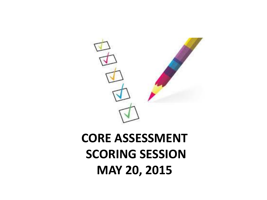

### **CORE ASSESSMENT SCORING SESSION MAY 20, 2015**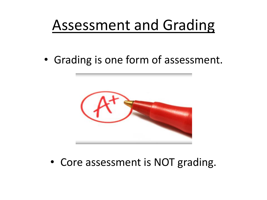### Assessment and Grading

• Grading is one form of assessment.



• Core assessment is NOT grading.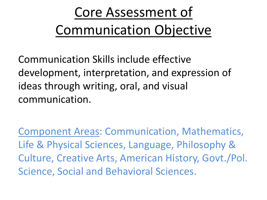### Core Assessment of Communication Objective

Communication Skills include effective development, interpretation, and expression of ideas through writing, oral, and visual communication.

Component Areas: Communication, Mathematics, Life & Physical Sciences, Language, Philosophy & Culture, Creative Arts, American History, Govt./Pol. Science, Social and Behavioral Sciences.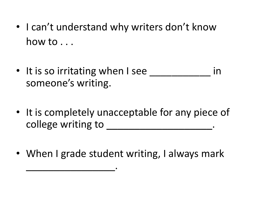- I can't understand why writers don't know how to  $\ldots$
- It is so irritating when I see Theorem in someone's writing.
- It is completely unacceptable for any piece of college writing to \_\_\_\_\_\_\_\_\_\_\_\_\_\_\_\_\_\_\_.
- When I grade student writing, I always mark

\_\_\_\_\_\_\_\_\_\_\_\_\_\_\_\_.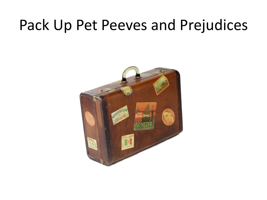### Pack Up Pet Peeves and Prejudices

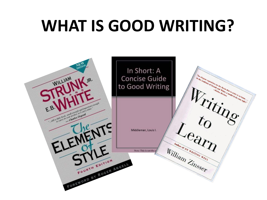# **WHAT IS GOOD WRITING?**

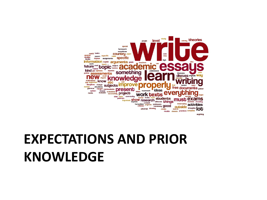

### **EXPECTATIONS AND PRIOR KNOWLEDGE**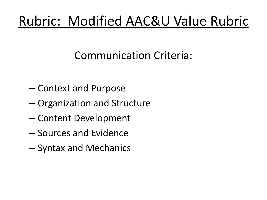### Rubric: Modified AAC&U Value Rubric

### Communication Criteria:

- Context and Purpose
- Organization and Structure
- Content Development
- Sources and Evidence
- Syntax and Mechanics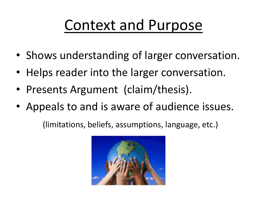### Context and Purpose

- Shows understanding of larger conversation.
- Helps reader into the larger conversation.
- Presents Argument (claim/thesis).
- Appeals to and is aware of audience issues.

(limitations, beliefs, assumptions, language, etc.)

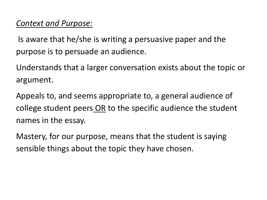#### *Context and Purpose:*

Is aware that he/she is writing a persuasive paper and the purpose is to persuade an audience.

Understands that a larger conversation exists about the topic or argument.

Appeals to, and seems appropriate to, a general audience of college student peers OR to the specific audience the student names in the essay.

Mastery, for our purpose, means that the student is saying sensible things about the topic they have chosen.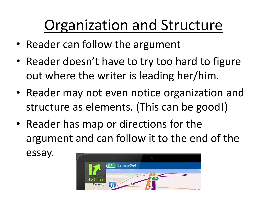## Organization and Structure

- Reader can follow the argument
- Reader doesn't have to try too hard to figure out where the writer is leading her/him.
- Reader may not even notice organization and structure as elements. (This can be good!)
- Reader has map or directions for the argument and can follow it to the end of the

essay.

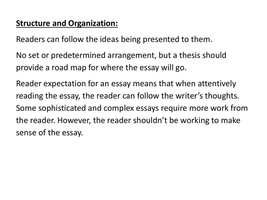### **Structure and Organization:**

Readers can follow the ideas being presented to them.

No set or predetermined arrangement, but a thesis should provide a road map for where the essay will go.

Reader expectation for an essay means that when attentively reading the essay, the reader can follow the writer's thoughts. Some sophisticated and complex essays require more work from the reader. However, the reader shouldn't be working to make sense of the essay.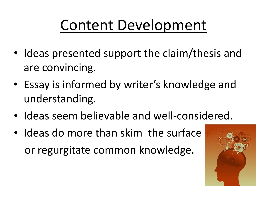## Content Development

- Ideas presented support the claim/thesis and are convincing.
- Essay is informed by writer's knowledge and understanding.
- Ideas seem believable and well-considered.
- Ideas do more than skim the surface or regurgitate common knowledge.

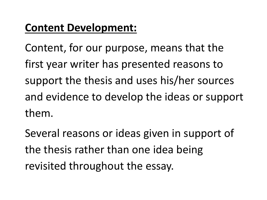### **Content Development:**

Content, for our purpose, means that the first year writer has presented reasons to support the thesis and uses his/her sources and evidence to develop the ideas or support them.

Several reasons or ideas given in support of the thesis rather than one idea being revisited throughout the essay.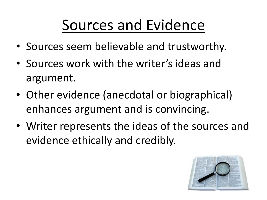## Sources and Evidence

- Sources seem believable and trustworthy.
- Sources work with the writer's ideas and argument.
- Other evidence (anecdotal or biographical) enhances argument and is convincing.
- Writer represents the ideas of the sources and evidence ethically and credibly.

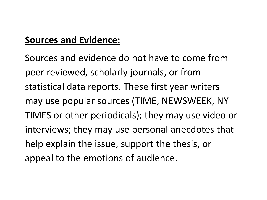### **Sources and Evidence:**

Sources and evidence do not have to come from peer reviewed, scholarly journals, or from statistical data reports. These first year writers may use popular sources (TIME, NEWSWEEK, NY TIMES or other periodicals); they may use video or interviews; they may use personal anecdotes that help explain the issue, support the thesis, or appeal to the emotions of audience.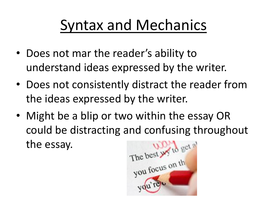## Syntax and Mechanics

- Does not mar the reader's ability to understand ideas expressed by the writer.
- Does not consistently distract the reader from the ideas expressed by the writer.
- Might be a blip or two within the essay OR could be distracting and confusing throughout the essay.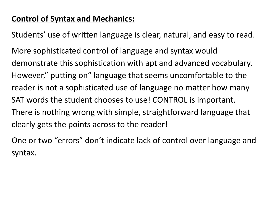### **Control of Syntax and Mechanics:**

Students' use of written language is clear, natural, and easy to read. More sophisticated control of language and syntax would demonstrate this sophistication with apt and advanced vocabulary. However," putting on" language that seems uncomfortable to the reader is not a sophisticated use of language no matter how many SAT words the student chooses to use! CONTROL is important. There is nothing wrong with simple, straightforward language that clearly gets the points across to the reader!

One or two "errors" don't indicate lack of control over language and syntax.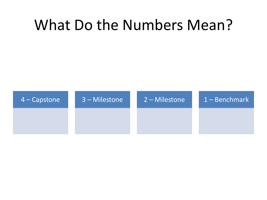### What Do the Numbers Mean?

| $ 4 -$ Capstone | 3 – Milestone | 2 – Milestone | 1-Benchmark |
|-----------------|---------------|---------------|-------------|
|                 |               |               |             |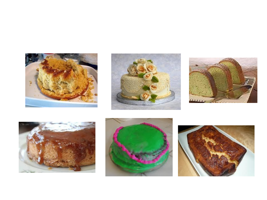









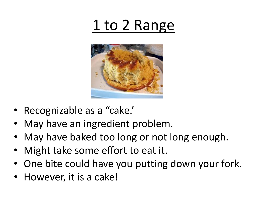



- Recognizable as a "cake.'
- May have an ingredient problem.
- May have baked too long or not long enough.
- Might take some effort to eat it.
- One bite could have you putting down your fork.
- However, it is a cake!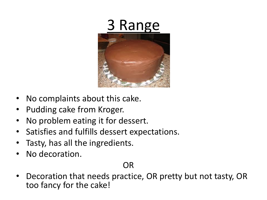

- No complaints about this cake.
- Pudding cake from Kroger.
- No problem eating it for dessert.
- Satisfies and fulfills dessert expectations.
- Tasty, has all the ingredients.
- No decoration.

### OR

• Decoration that needs practice, OR pretty but not tasty, OR too fancy for the cake!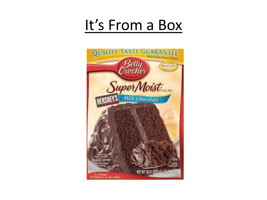### It's From a Box

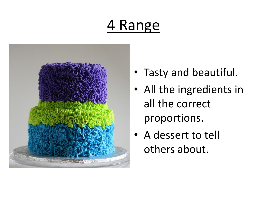## 4 Range



- Tasty and beautiful.
- All the ingredients in all the correct proportions.
- A dessert to tell others about.